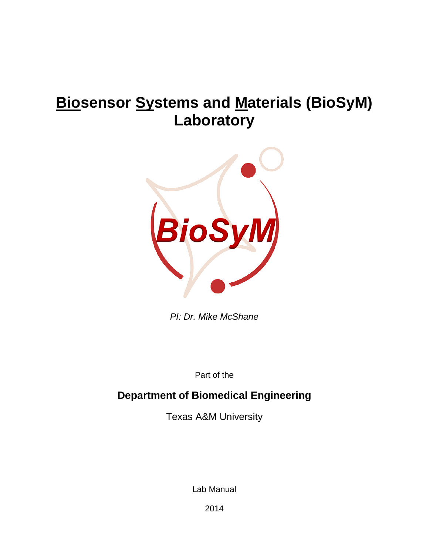# **Biosensor Systems and Materials (BioSyM) Laboratory**



*PI: Dr. Mike McShane*

Part of the

# **Department of Biomedical Engineering**

Texas A&M University

Lab Manual

2014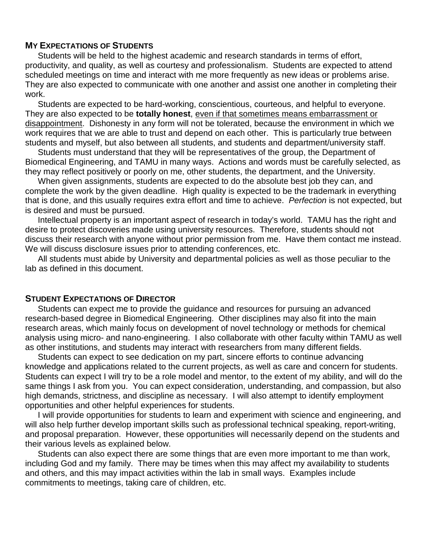#### **MY EXPECTATIONS OF STUDENTS**

Students will be held to the highest academic and research standards in terms of effort, productivity, and quality, as well as courtesy and professionalism. Students are expected to attend scheduled meetings on time and interact with me more frequently as new ideas or problems arise. They are also expected to communicate with one another and assist one another in completing their work.

Students are expected to be hard-working, conscientious, courteous, and helpful to everyone. They are also expected to be **totally honest**, even if that sometimes means embarrassment or disappointment. Dishonesty in any form will not be tolerated, because the environment in which we work requires that we are able to trust and depend on each other. This is particularly true between students and myself, but also between all students, and students and department/university staff.

Students must understand that they will be representatives of the group, the Department of Biomedical Engineering, and TAMU in many ways. Actions and words must be carefully selected, as they may reflect positively or poorly on me, other students, the department, and the University.

When given assignments, students are expected to do the absolute best job they can, and complete the work by the given deadline. High quality is expected to be the trademark in everything that is done, and this usually requires extra effort and time to achieve. *Perfection* is not expected, but is desired and must be pursued.

Intellectual property is an important aspect of research in today's world. TAMU has the right and desire to protect discoveries made using university resources. Therefore, students should not discuss their research with anyone without prior permission from me. Have them contact me instead. We will discuss disclosure issues prior to attending conferences, etc.

All students must abide by University and departmental policies as well as those peculiar to the lab as defined in this document.

#### **STUDENT EXPECTATIONS OF DIRECTOR**

Students can expect me to provide the guidance and resources for pursuing an advanced research-based degree in Biomedical Engineering. Other disciplines may also fit into the main research areas, which mainly focus on development of novel technology or methods for chemical analysis using micro- and nano-engineering. I also collaborate with other faculty within TAMU as well as other institutions, and students may interact with researchers from many different fields.

Students can expect to see dedication on my part, sincere efforts to continue advancing knowledge and applications related to the current projects, as well as care and concern for students. Students can expect I will try to be a role model and mentor, to the extent of my ability, and will do the same things I ask from you. You can expect consideration, understanding, and compassion, but also high demands, strictness, and discipline as necessary. I will also attempt to identify employment opportunities and other helpful experiences for students.

I will provide opportunities for students to learn and experiment with science and engineering, and will also help further develop important skills such as professional technical speaking, report-writing, and proposal preparation. However, these opportunities will necessarily depend on the students and their various levels as explained below.

Students can also expect there are some things that are even more important to me than work, including God and my family. There may be times when this may affect my availability to students and others, and this may impact activities within the lab in small ways. Examples include commitments to meetings, taking care of children, etc.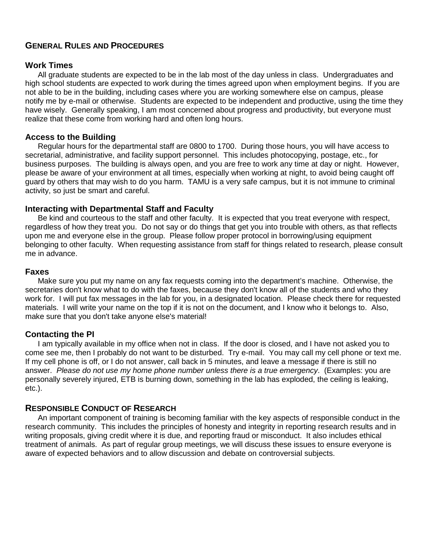## **GENERAL RULES AND PROCEDURES**

#### **Work Times**

All graduate students are expected to be in the lab most of the day unless in class. Undergraduates and high school students are expected to work during the times agreed upon when employment begins. If you are not able to be in the building, including cases where you are working somewhere else on campus, please notify me by e-mail or otherwise. Students are expected to be independent and productive, using the time they have wisely. Generally speaking, I am most concerned about progress and productivity, but everyone must realize that these come from working hard and often long hours.

#### **Access to the Building**

Regular hours for the departmental staff are 0800 to 1700. During those hours, you will have access to secretarial, administrative, and facility support personnel. This includes photocopying, postage, etc., for business purposes. The building is always open, and you are free to work any time at day or night. However, please be aware of your environment at all times, especially when working at night, to avoid being caught off guard by others that may wish to do you harm. TAMU is a very safe campus, but it is not immune to criminal activity, so just be smart and careful.

#### **Interacting with Departmental Staff and Faculty**

Be kind and courteous to the staff and other faculty. It is expected that you treat everyone with respect, regardless of how they treat you. Do not say or do things that get you into trouble with others, as that reflects upon me and everyone else in the group. Please follow proper protocol in borrowing/using equipment belonging to other faculty. When requesting assistance from staff for things related to research, please consult me in advance.

#### **Faxes**

Make sure you put my name on any fax requests coming into the department's machine. Otherwise, the secretaries don't know what to do with the faxes, because they don't know all of the students and who they work for. I will put fax messages in the lab for you, in a designated location. Please check there for requested materials. I will write your name on the top if it is not on the document, and I know who it belongs to. Also, make sure that you don't take anyone else's material!

#### **Contacting the PI**

I am typically available in my office when not in class. If the door is closed, and I have not asked you to come see me, then I probably do not want to be disturbed. Try e-mail. You may call my cell phone or text me. If my cell phone is off, or I do not answer, call back in 5 minutes, and leave a message if there is still no answer. *Please do not use my home phone number unless there is a true emergency*. (Examples: you are personally severely injured, ETB is burning down, something in the lab has exploded, the ceiling is leaking, etc.).

#### **RESPONSIBLE CONDUCT OF RESEARCH**

An important component of training is becoming familiar with the key aspects of responsible conduct in the research community. This includes the principles of honesty and integrity in reporting research results and in writing proposals, giving credit where it is due, and reporting fraud or misconduct. It also includes ethical treatment of animals. As part of regular group meetings, we will discuss these issues to ensure everyone is aware of expected behaviors and to allow discussion and debate on controversial subjects.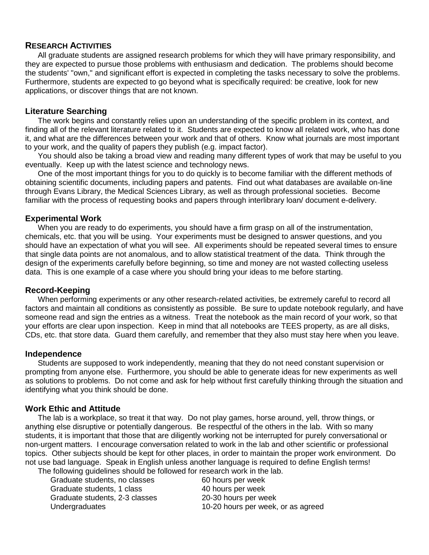#### **RESEARCH ACTIVITIES**

All graduate students are assigned research problems for which they will have primary responsibility, and they are expected to pursue those problems with enthusiasm and dedication. The problems should become the students' "own," and significant effort is expected in completing the tasks necessary to solve the problems. Furthermore, students are expected to go beyond what is specifically required: be creative, look for new applications, or discover things that are not known.

#### **Literature Searching**

The work begins and constantly relies upon an understanding of the specific problem in its context, and finding all of the relevant literature related to it. Students are expected to know all related work, who has done it, and what are the differences between your work and that of others. Know what journals are most important to your work, and the quality of papers they publish (e.g. impact factor).

You should also be taking a broad view and reading many different types of work that may be useful to you eventually. Keep up with the latest science and technology news.

One of the most important things for you to do quickly is to become familiar with the different methods of obtaining scientific documents, including papers and patents. Find out what databases are available on-line through Evans Library, the Medical Sciences Library, as well as through professional societies. Become familiar with the process of requesting books and papers through interlibrary loan/ document e-delivery.

#### **Experimental Work**

When you are ready to do experiments, you should have a firm grasp on all of the instrumentation, chemicals, etc. that you will be using. Your experiments must be designed to answer questions, and you should have an expectation of what you will see. All experiments should be repeated several times to ensure that single data points are not anomalous, and to allow statistical treatment of the data. Think through the design of the experiments carefully before beginning, so time and money are not wasted collecting useless data. This is one example of a case where you should bring your ideas to me before starting.

#### **Record-Keeping**

When performing experiments or any other research-related activities, be extremely careful to record all factors and maintain all conditions as consistently as possible. Be sure to update notebook regularly, and have someone read and sign the entries as a witness. Treat the notebook as the main record of your work, so that your efforts are clear upon inspection. Keep in mind that all notebooks are TEES property, as are all disks, CDs, etc. that store data. Guard them carefully, and remember that they also must stay here when you leave.

#### **Independence**

Students are supposed to work independently, meaning that they do not need constant supervision or prompting from anyone else. Furthermore, you should be able to generate ideas for new experiments as well as solutions to problems. Do not come and ask for help without first carefully thinking through the situation and identifying what you think should be done.

#### **Work Ethic and Attitude**

The lab is a workplace, so treat it that way. Do not play games, horse around, yell, throw things, or anything else disruptive or potentially dangerous. Be respectful of the others in the lab. With so many students, it is important that those that are diligently working not be interrupted for purely conversational or non-urgent matters. I encourage conversation related to work in the lab and other scientific or professional topics. Other subjects should be kept for other places, in order to maintain the proper work environment. Do not use bad language. Speak in English unless another language is required to define English terms! The following guidelines should be followed for research work in the lab.

Graduate students, no classes 60 hours per week Graduate students, 1 class 40 hours per week Graduate students, 2-3 classes 20-30 hours per week

Undergraduates 10-20 hours per week, or as agreed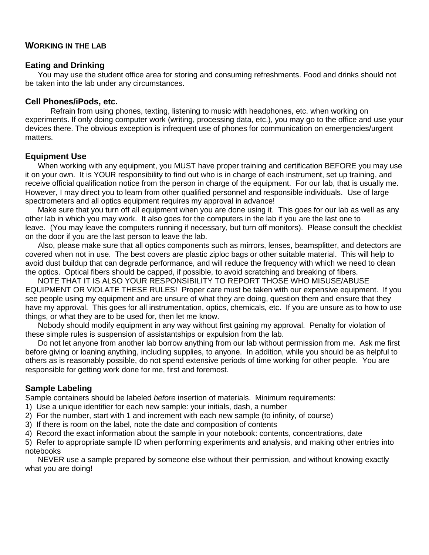#### **WORKING IN THE LAB**

#### **Eating and Drinking**

You may use the student office area for storing and consuming refreshments. Food and drinks should not be taken into the lab under any circumstances.

#### **Cell Phones/iPods, etc.**

Refrain from using phones, texting, listening to music with headphones, etc. when working on experiments. If only doing computer work (writing, processing data, etc.), you may go to the office and use your devices there. The obvious exception is infrequent use of phones for communication on emergencies/urgent matters.

#### **Equipment Use**

When working with any equipment, you MUST have proper training and certification BEFORE you may use it on your own. It is YOUR responsibility to find out who is in charge of each instrument, set up training, and receive official qualification notice from the person in charge of the equipment. For our lab, that is usually me. However, I may direct you to learn from other qualified personnel and responsible individuals. Use of large spectrometers and all optics equipment requires my approval in advance!

Make sure that you turn off all equipment when you are done using it. This goes for our lab as well as any other lab in which you may work. It also goes for the computers in the lab if you are the last one to leave. (You may leave the computers running if necessary, but turn off monitors). Please consult the checklist on the door if you are the last person to leave the lab.

Also, please make sure that all optics components such as mirrors, lenses, beamsplitter, and detectors are covered when not in use. The best covers are plastic ziploc bags or other suitable material. This will help to avoid dust buildup that can degrade performance, and will reduce the frequency with which we need to clean the optics. Optical fibers should be capped, if possible, to avoid scratching and breaking of fibers.

NOTE THAT IT IS ALSO YOUR RESPONSIBILITY TO REPORT THOSE WHO MISUSE/ABUSE EQUIPMENT OR VIOLATE THESE RULES! Proper care must be taken with our expensive equipment. If you see people using my equipment and are unsure of what they are doing, question them and ensure that they have my approval. This goes for all instrumentation, optics, chemicals, etc. If you are unsure as to how to use things, or what they are to be used for, then let me know.

Nobody should modify equipment in any way without first gaining my approval. Penalty for violation of these simple rules is suspension of assistantships or expulsion from the lab.

Do not let anyone from another lab borrow anything from our lab without permission from me. Ask me first before giving or loaning anything, including supplies, to anyone. In addition, while you should be as helpful to others as is reasonably possible, do not spend extensive periods of time working for other people. You are responsible for getting work done for me, first and foremost.

#### **Sample Labeling**

Sample containers should be labeled *before* insertion of materials. Minimum requirements:

- 1) Use a unique identifier for each new sample: your initials, dash, a number
- 2) For the number, start with 1 and increment with each new sample (to infinity, of course)
- 3) If there is room on the label, note the date and composition of contents
- 4) Record the exact information about the sample in your notebook: contents, concentrations, date

5) Refer to appropriate sample ID when performing experiments and analysis, and making other entries into notebooks

NEVER use a sample prepared by someone else without their permission, and without knowing exactly what you are doing!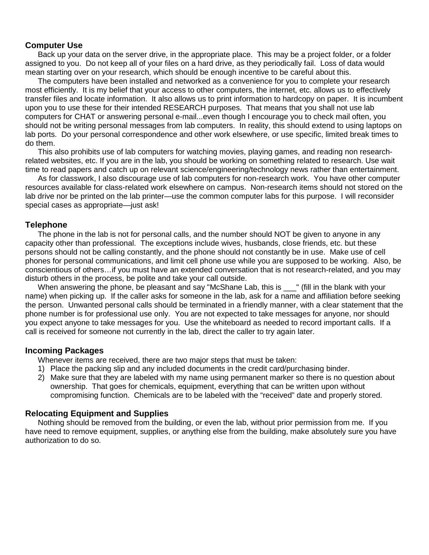#### **Computer Use**

Back up your data on the server drive, in the appropriate place. This may be a project folder, or a folder assigned to you. Do not keep all of your files on a hard drive, as they periodically fail. Loss of data would mean starting over on your research, which should be enough incentive to be careful about this.

The computers have been installed and networked as a convenience for you to complete your research most efficiently. It is my belief that your access to other computers, the internet, etc. allows us to effectively transfer files and locate information. It also allows us to print information to hardcopy on paper. It is incumbent upon you to use these for their intended RESEARCH purposes. That means that you shall not use lab computers for CHAT or answering personal e-mail...even though I encourage you to check mail often, you should not be writing personal messages from lab computers. In reality, this should extend to using laptops on lab ports. Do your personal correspondence and other work elsewhere, or use specific, limited break times to do them.

This also prohibits use of lab computers for watching movies, playing games, and reading non researchrelated websites, etc. If you are in the lab, you should be working on something related to research. Use wait time to read papers and catch up on relevant science/engineering/technology news rather than entertainment.

As for classwork, I also discourage use of lab computers for non-research work. You have other computer resources available for class-related work elsewhere on campus. Non-research items should not stored on the lab drive nor be printed on the lab printer—use the common computer labs for this purpose. I will reconsider special cases as appropriate—just ask!

#### **Telephone**

The phone in the lab is not for personal calls, and the number should NOT be given to anyone in any capacity other than professional. The exceptions include wives, husbands, close friends, etc. but these persons should not be calling constantly, and the phone should not constantly be in use. Make use of cell phones for personal communications, and limit cell phone use while you are supposed to be working. Also, be conscientious of others…if you must have an extended conversation that is not research-related, and you may disturb others in the process, be polite and take your call outside.

When answering the phone, be pleasant and say "McShane Lab, this is \_\_\_" (fill in the blank with your name) when picking up. If the caller asks for someone in the lab, ask for a name and affiliation before seeking the person. Unwanted personal calls should be terminated in a friendly manner, with a clear statement that the phone number is for professional use only. You are not expected to take messages for anyone, nor should you expect anyone to take messages for you. Use the whiteboard as needed to record important calls. If a call is received for someone not currently in the lab, direct the caller to try again later.

#### **Incoming Packages**

Whenever items are received, there are two major steps that must be taken:

- 1) Place the packing slip and any included documents in the credit card/purchasing binder.
- 2) Make sure that they are labeled with my name using permanent marker so there is no question about ownership. That goes for chemicals, equipment, everything that can be written upon without compromising function. Chemicals are to be labeled with the "received" date and properly stored.

#### **Relocating Equipment and Supplies**

Nothing should be removed from the building, or even the lab, without prior permission from me. If you have need to remove equipment, supplies, or anything else from the building, make absolutely sure you have authorization to do so.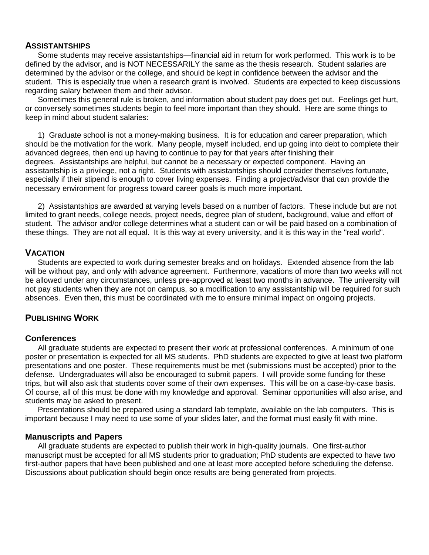#### **ASSISTANTSHIPS**

Some students may receive assistantships—financial aid in return for work performed. This work is to be defined by the advisor, and is NOT NECESSARILY the same as the thesis research. Student salaries are determined by the advisor or the college, and should be kept in confidence between the advisor and the student. This is especially true when a research grant is involved. Students are expected to keep discussions regarding salary between them and their advisor.

Sometimes this general rule is broken, and information about student pay does get out. Feelings get hurt, or conversely sometimes students begin to feel more important than they should. Here are some things to keep in mind about student salaries:

1) Graduate school is not a money-making business. It is for education and career preparation, which should be the motivation for the work. Many people, myself included, end up going into debt to complete their advanced degrees, then end up having to continue to pay for that years after finishing their degrees. Assistantships are helpful, but cannot be a necessary or expected component. Having an assistantship is a privilege, not a right. Students with assistantships should consider themselves fortunate, especially if their stipend is enough to cover living expenses. Finding a project/advisor that can provide the necessary environment for progress toward career goals is much more important.

2) Assistantships are awarded at varying levels based on a number of factors. These include but are not limited to grant needs, college needs, project needs, degree plan of student, background, value and effort of student. The advisor and/or college determines what a student can or will be paid based on a combination of these things. They are not all equal. It is this way at every university, and it is this way in the "real world".

#### **VACATION**

Students are expected to work during semester breaks and on holidays. Extended absence from the lab will be without pay, and only with advance agreement. Furthermore, vacations of more than two weeks will not be allowed under any circumstances, unless pre-approved at least two months in advance. The university will not pay students when they are not on campus, so a modification to any assistantship will be required for such absences. Even then, this must be coordinated with me to ensure minimal impact on ongoing projects.

#### **PUBLISHING WORK**

#### **Conferences**

All graduate students are expected to present their work at professional conferences. A minimum of one poster or presentation is expected for all MS students. PhD students are expected to give at least two platform presentations and one poster. These requirements must be met (submissions must be accepted) prior to the defense. Undergraduates will also be encouraged to submit papers. I will provide some funding for these trips, but will also ask that students cover some of their own expenses. This will be on a case-by-case basis. Of course, all of this must be done with my knowledge and approval. Seminar opportunities will also arise, and students may be asked to present.

Presentations should be prepared using a standard lab template, available on the lab computers. This is important because I may need to use some of your slides later, and the format must easily fit with mine.

#### **Manuscripts and Papers**

All graduate students are expected to publish their work in high-quality journals. One first-author manuscript must be accepted for all MS students prior to graduation; PhD students are expected to have two first-author papers that have been published and one at least more accepted before scheduling the defense. Discussions about publication should begin once results are being generated from projects.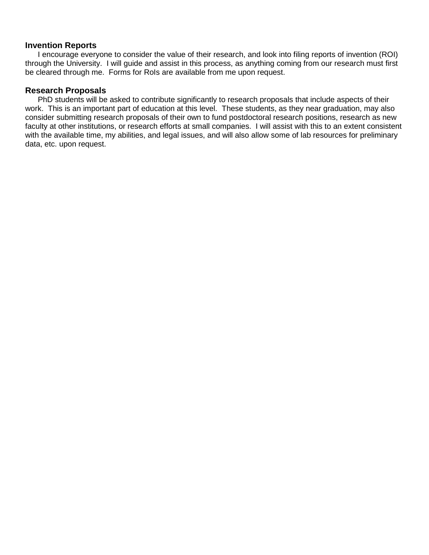#### **Invention Reports**

I encourage everyone to consider the value of their research, and look into filing reports of invention (ROI) through the University. I will guide and assist in this process, as anything coming from our research must first be cleared through me. Forms for RoIs are available from me upon request.

### **Research Proposals**

PhD students will be asked to contribute significantly to research proposals that include aspects of their work. This is an important part of education at this level. These students, as they near graduation, may also consider submitting research proposals of their own to fund postdoctoral research positions, research as new faculty at other institutions, or research efforts at small companies. I will assist with this to an extent consistent with the available time, my abilities, and legal issues, and will also allow some of lab resources for preliminary data, etc. upon request.